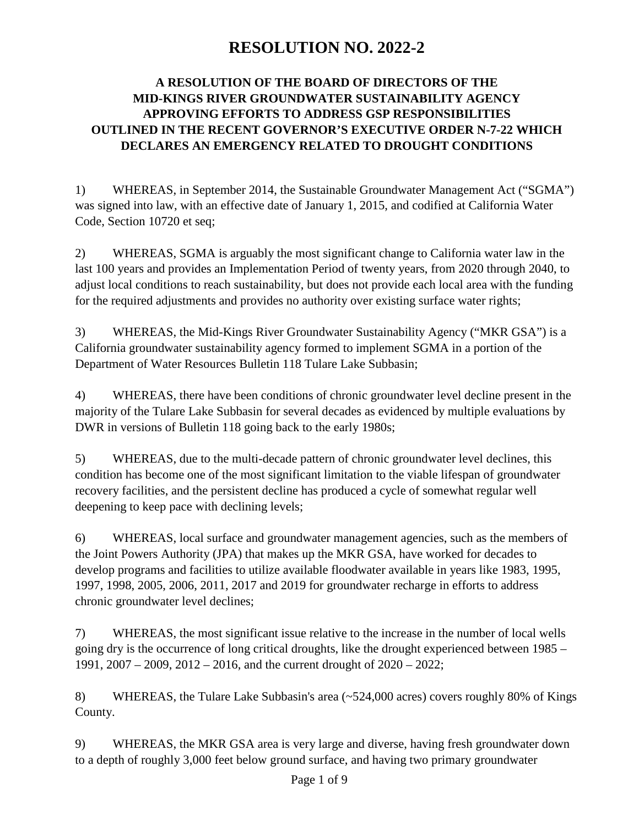# **RESOLUTION NO. 2022-2**

### **A RESOLUTION OF THE BOARD OF DIRECTORS OF THE MID-KINGS RIVER GROUNDWATER SUSTAINABILITY AGENCY APPROVING EFFORTS TO ADDRESS GSP RESPONSIBILITIES OUTLINED IN THE RECENT GOVERNOR'S EXECUTIVE ORDER N-7-22 WHICH DECLARES AN EMERGENCY RELATED TO DROUGHT CONDITIONS**

1) WHEREAS, in September 2014, the Sustainable Groundwater Management Act ("SGMA") was signed into law, with an effective date of January 1, 2015, and codified at California Water Code, Section 10720 et seq;

2) WHEREAS, SGMA is arguably the most significant change to California water law in the last 100 years and provides an Implementation Period of twenty years, from 2020 through 2040, to adjust local conditions to reach sustainability, but does not provide each local area with the funding for the required adjustments and provides no authority over existing surface water rights;

3) WHEREAS, the Mid-Kings River Groundwater Sustainability Agency ("MKR GSA") is a California groundwater sustainability agency formed to implement SGMA in a portion of the Department of Water Resources Bulletin 118 Tulare Lake Subbasin;

4) WHEREAS, there have been conditions of chronic groundwater level decline present in the majority of the Tulare Lake Subbasin for several decades as evidenced by multiple evaluations by DWR in versions of Bulletin 118 going back to the early 1980s;

5) WHEREAS, due to the multi-decade pattern of chronic groundwater level declines, this condition has become one of the most significant limitation to the viable lifespan of groundwater recovery facilities, and the persistent decline has produced a cycle of somewhat regular well deepening to keep pace with declining levels;

6) WHEREAS, local surface and groundwater management agencies, such as the members of the Joint Powers Authority (JPA) that makes up the MKR GSA, have worked for decades to develop programs and facilities to utilize available floodwater available in years like 1983, 1995, 1997, 1998, 2005, 2006, 2011, 2017 and 2019 for groundwater recharge in efforts to address chronic groundwater level declines;

7) WHEREAS, the most significant issue relative to the increase in the number of local wells going dry is the occurrence of long critical droughts, like the drought experienced between 1985 – 1991, 2007 – 2009, 2012 – 2016, and the current drought of 2020 – 2022;

8) WHEREAS, the Tulare Lake Subbasin's area (~524,000 acres) covers roughly 80% of Kings County.

9) WHEREAS, the MKR GSA area is very large and diverse, having fresh groundwater down to a depth of roughly 3,000 feet below ground surface, and having two primary groundwater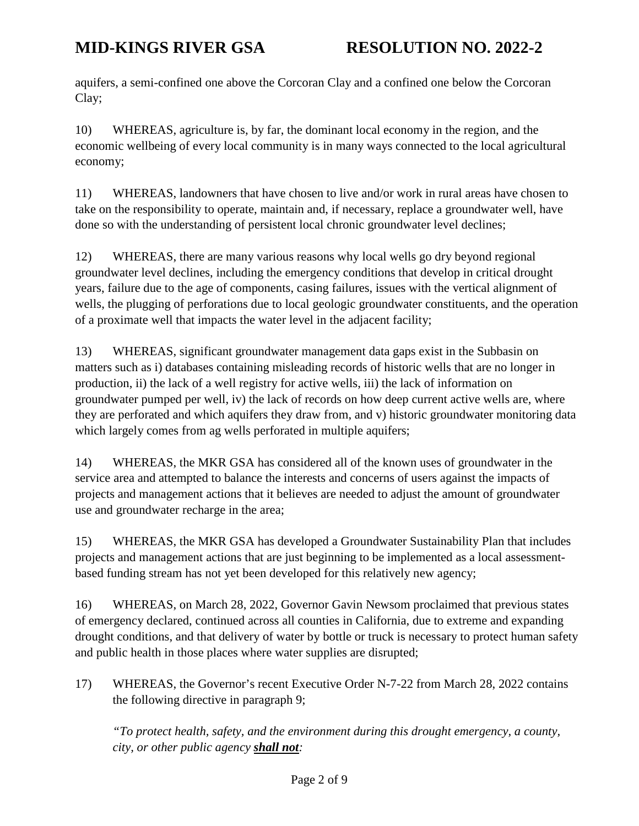aquifers, a semi-confined one above the Corcoran Clay and a confined one below the Corcoran Clay;

10) WHEREAS, agriculture is, by far, the dominant local economy in the region, and the economic wellbeing of every local community is in many ways connected to the local agricultural economy;

11) WHEREAS, landowners that have chosen to live and/or work in rural areas have chosen to take on the responsibility to operate, maintain and, if necessary, replace a groundwater well, have done so with the understanding of persistent local chronic groundwater level declines;

12) WHEREAS, there are many various reasons why local wells go dry beyond regional groundwater level declines, including the emergency conditions that develop in critical drought years, failure due to the age of components, casing failures, issues with the vertical alignment of wells, the plugging of perforations due to local geologic groundwater constituents, and the operation of a proximate well that impacts the water level in the adjacent facility;

13) WHEREAS, significant groundwater management data gaps exist in the Subbasin on matters such as i) databases containing misleading records of historic wells that are no longer in production, ii) the lack of a well registry for active wells, iii) the lack of information on groundwater pumped per well, iv) the lack of records on how deep current active wells are, where they are perforated and which aquifers they draw from, and v) historic groundwater monitoring data which largely comes from ag wells perforated in multiple aquifers;

14) WHEREAS, the MKR GSA has considered all of the known uses of groundwater in the service area and attempted to balance the interests and concerns of users against the impacts of projects and management actions that it believes are needed to adjust the amount of groundwater use and groundwater recharge in the area;

15) WHEREAS, the MKR GSA has developed a Groundwater Sustainability Plan that includes projects and management actions that are just beginning to be implemented as a local assessmentbased funding stream has not yet been developed for this relatively new agency;

16) WHEREAS, on March 28, 2022, Governor Gavin Newsom proclaimed that previous states of emergency declared, continued across all counties in California, due to extreme and expanding drought conditions, and that delivery of water by bottle or truck is necessary to protect human safety and public health in those places where water supplies are disrupted;

17) WHEREAS, the Governor's recent Executive Order N-7-22 from March 28, 2022 contains the following directive in paragraph 9;

*"To protect health, safety, and the environment during this drought emergency, a county, city, or other public agency shall not:*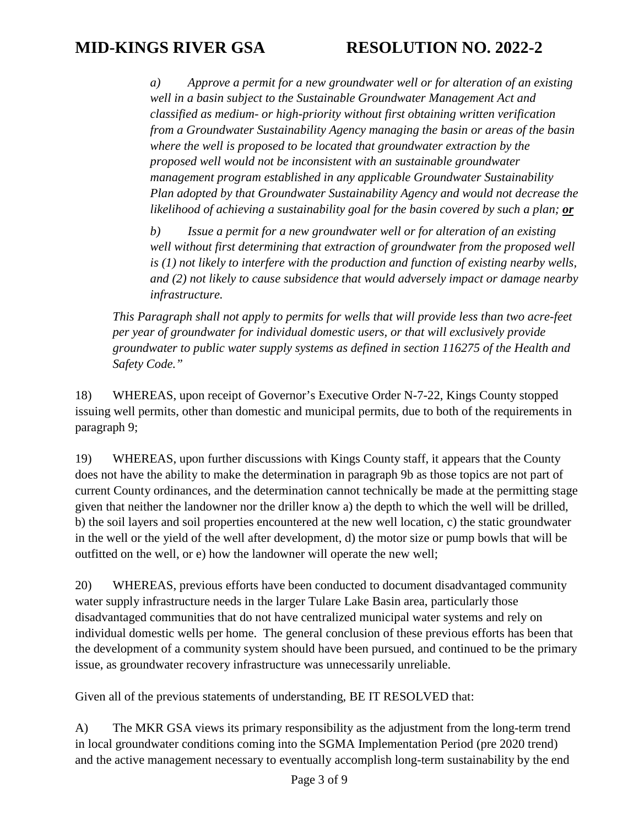*a) Approve a permit for a new groundwater well or for alteration of an existing well in a basin subject to the Sustainable Groundwater Management Act and classified as medium- or high-priority without first obtaining written verification from a Groundwater Sustainability Agency managing the basin or areas of the basin where the well is proposed to be located that groundwater extraction by the proposed well would not be inconsistent with an sustainable groundwater management program established in any applicable Groundwater Sustainability Plan adopted by that Groundwater Sustainability Agency and would not decrease the likelihood of achieving a sustainability goal for the basin covered by such a plan; or*

*b) Issue a permit for a new groundwater well or for alteration of an existing well without first determining that extraction of groundwater from the proposed well is (1) not likely to interfere with the production and function of existing nearby wells, and (2) not likely to cause subsidence that would adversely impact or damage nearby infrastructure.*

*This Paragraph shall not apply to permits for wells that will provide less than two acre-feet per year of groundwater for individual domestic users, or that will exclusively provide groundwater to public water supply systems as defined in section 116275 of the Health and Safety Code."*

18) WHEREAS, upon receipt of Governor's Executive Order N-7-22, Kings County stopped issuing well permits, other than domestic and municipal permits, due to both of the requirements in paragraph 9;

19) WHEREAS, upon further discussions with Kings County staff, it appears that the County does not have the ability to make the determination in paragraph 9b as those topics are not part of current County ordinances, and the determination cannot technically be made at the permitting stage given that neither the landowner nor the driller know a) the depth to which the well will be drilled, b) the soil layers and soil properties encountered at the new well location, c) the static groundwater in the well or the yield of the well after development, d) the motor size or pump bowls that will be outfitted on the well, or e) how the landowner will operate the new well;

20) WHEREAS, previous efforts have been conducted to document disadvantaged community water supply infrastructure needs in the larger Tulare Lake Basin area, particularly those disadvantaged communities that do not have centralized municipal water systems and rely on individual domestic wells per home. The general conclusion of these previous efforts has been that the development of a community system should have been pursued, and continued to be the primary issue, as groundwater recovery infrastructure was unnecessarily unreliable.

Given all of the previous statements of understanding, BE IT RESOLVED that:

A) The MKR GSA views its primary responsibility as the adjustment from the long-term trend in local groundwater conditions coming into the SGMA Implementation Period (pre 2020 trend) and the active management necessary to eventually accomplish long-term sustainability by the end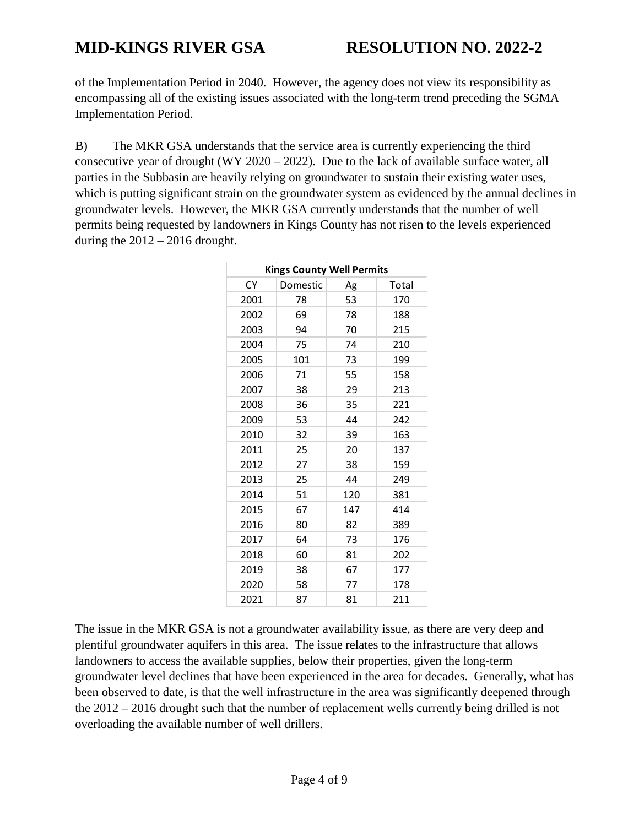of the Implementation Period in 2040. However, the agency does not view its responsibility as encompassing all of the existing issues associated with the long-term trend preceding the SGMA Implementation Period.

B) The MKR GSA understands that the service area is currently experiencing the third consecutive year of drought (WY 2020 – 2022). Due to the lack of available surface water, all parties in the Subbasin are heavily relying on groundwater to sustain their existing water uses, which is putting significant strain on the groundwater system as evidenced by the annual declines in groundwater levels. However, the MKR GSA currently understands that the number of well permits being requested by landowners in Kings County has not risen to the levels experienced during the  $2012 - 2016$  drought.

| <b>Kings County Well Permits</b> |          |     |       |
|----------------------------------|----------|-----|-------|
| СY                               | Domestic | Ag  | Total |
| 2001                             | 78       | 53  | 170   |
| 2002                             | 69       | 78  | 188   |
| 2003                             | 94       | 70  | 215   |
| 2004                             | 75       | 74  | 210   |
| 2005                             | 101      | 73  | 199   |
| 2006                             | 71       | 55  | 158   |
| 2007                             | 38       | 29  | 213   |
| 2008                             | 36       | 35  | 221   |
| 2009                             | 53       | 44  | 242   |
| 2010                             | 32       | 39  | 163   |
| 2011                             | 25       | 20  | 137   |
| 2012                             | 27       | 38  | 159   |
| 2013                             | 25       | 44  | 249   |
| 2014                             | 51       | 120 | 381   |
| 2015                             | 67       | 147 | 414   |
| 2016                             | 80       | 82  | 389   |
| 2017                             | 64       | 73  | 176   |
| 2018                             | 60       | 81  | 202   |
| 2019                             | 38       | 67  | 177   |
| 2020                             | 58       | 77  | 178   |
| 2021                             | 87       | 81  | 211   |

The issue in the MKR GSA is not a groundwater availability issue, as there are very deep and plentiful groundwater aquifers in this area. The issue relates to the infrastructure that allows landowners to access the available supplies, below their properties, given the long-term groundwater level declines that have been experienced in the area for decades. Generally, what has been observed to date, is that the well infrastructure in the area was significantly deepened through the 2012 – 2016 drought such that the number of replacement wells currently being drilled is not overloading the available number of well drillers.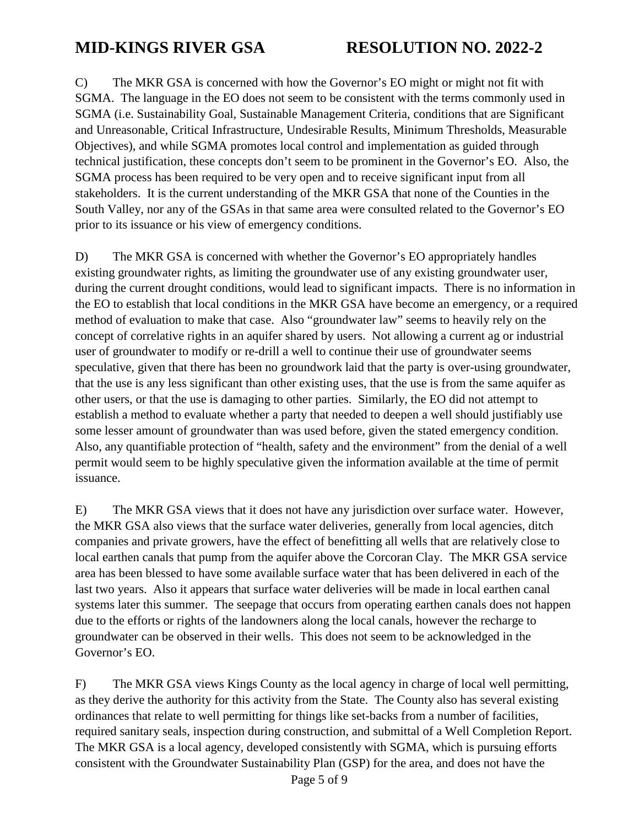C) The MKR GSA is concerned with how the Governor's EO might or might not fit with SGMA. The language in the EO does not seem to be consistent with the terms commonly used in SGMA (i.e. Sustainability Goal, Sustainable Management Criteria, conditions that are Significant and Unreasonable, Critical Infrastructure, Undesirable Results, Minimum Thresholds, Measurable Objectives), and while SGMA promotes local control and implementation as guided through technical justification, these concepts don't seem to be prominent in the Governor's EO. Also, the SGMA process has been required to be very open and to receive significant input from all stakeholders. It is the current understanding of the MKR GSA that none of the Counties in the South Valley, nor any of the GSAs in that same area were consulted related to the Governor's EO prior to its issuance or his view of emergency conditions.

D) The MKR GSA is concerned with whether the Governor's EO appropriately handles existing groundwater rights, as limiting the groundwater use of any existing groundwater user, during the current drought conditions, would lead to significant impacts. There is no information in the EO to establish that local conditions in the MKR GSA have become an emergency, or a required method of evaluation to make that case. Also "groundwater law" seems to heavily rely on the concept of correlative rights in an aquifer shared by users. Not allowing a current ag or industrial user of groundwater to modify or re-drill a well to continue their use of groundwater seems speculative, given that there has been no groundwork laid that the party is over-using groundwater, that the use is any less significant than other existing uses, that the use is from the same aquifer as other users, or that the use is damaging to other parties. Similarly, the EO did not attempt to establish a method to evaluate whether a party that needed to deepen a well should justifiably use some lesser amount of groundwater than was used before, given the stated emergency condition. Also, any quantifiable protection of "health, safety and the environment" from the denial of a well permit would seem to be highly speculative given the information available at the time of permit issuance.

E) The MKR GSA views that it does not have any jurisdiction over surface water. However, the MKR GSA also views that the surface water deliveries, generally from local agencies, ditch companies and private growers, have the effect of benefitting all wells that are relatively close to local earthen canals that pump from the aquifer above the Corcoran Clay. The MKR GSA service area has been blessed to have some available surface water that has been delivered in each of the last two years. Also it appears that surface water deliveries will be made in local earthen canal systems later this summer. The seepage that occurs from operating earthen canals does not happen due to the efforts or rights of the landowners along the local canals, however the recharge to groundwater can be observed in their wells. This does not seem to be acknowledged in the Governor's EO.

F) The MKR GSA views Kings County as the local agency in charge of local well permitting, as they derive the authority for this activity from the State. The County also has several existing ordinances that relate to well permitting for things like set-backs from a number of facilities, required sanitary seals, inspection during construction, and submittal of a Well Completion Report. The MKR GSA is a local agency, developed consistently with SGMA, which is pursuing efforts consistent with the Groundwater Sustainability Plan (GSP) for the area, and does not have the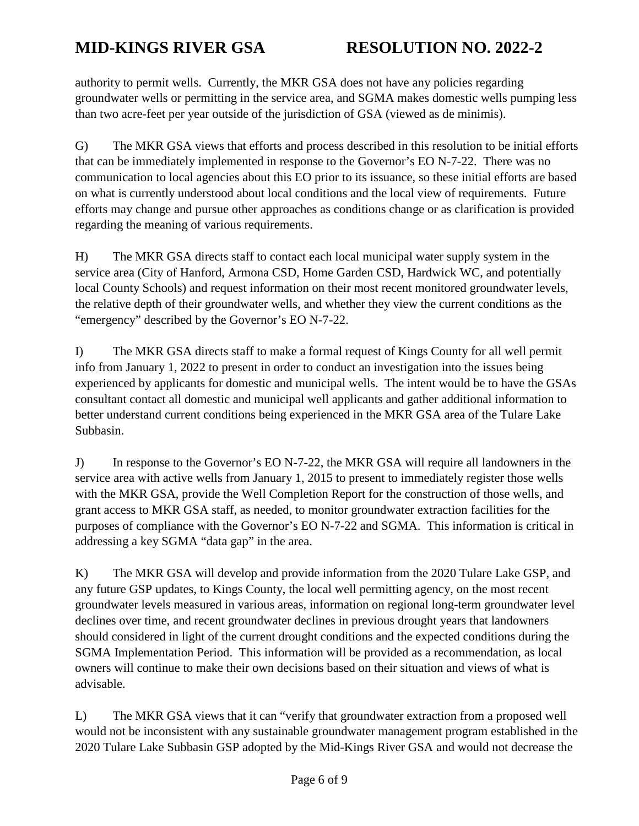authority to permit wells. Currently, the MKR GSA does not have any policies regarding groundwater wells or permitting in the service area, and SGMA makes domestic wells pumping less than two acre-feet per year outside of the jurisdiction of GSA (viewed as de minimis).

G) The MKR GSA views that efforts and process described in this resolution to be initial efforts that can be immediately implemented in response to the Governor's EO N-7-22. There was no communication to local agencies about this EO prior to its issuance, so these initial efforts are based on what is currently understood about local conditions and the local view of requirements. Future efforts may change and pursue other approaches as conditions change or as clarification is provided regarding the meaning of various requirements.

H) The MKR GSA directs staff to contact each local municipal water supply system in the service area (City of Hanford, Armona CSD, Home Garden CSD, Hardwick WC, and potentially local County Schools) and request information on their most recent monitored groundwater levels, the relative depth of their groundwater wells, and whether they view the current conditions as the "emergency" described by the Governor's EO N-7-22.

I) The MKR GSA directs staff to make a formal request of Kings County for all well permit info from January 1, 2022 to present in order to conduct an investigation into the issues being experienced by applicants for domestic and municipal wells. The intent would be to have the GSAs consultant contact all domestic and municipal well applicants and gather additional information to better understand current conditions being experienced in the MKR GSA area of the Tulare Lake Subbasin.

J) In response to the Governor's EO N-7-22, the MKR GSA will require all landowners in the service area with active wells from January 1, 2015 to present to immediately register those wells with the MKR GSA, provide the Well Completion Report for the construction of those wells, and grant access to MKR GSA staff, as needed, to monitor groundwater extraction facilities for the purposes of compliance with the Governor's EO N-7-22 and SGMA. This information is critical in addressing a key SGMA "data gap" in the area.

K) The MKR GSA will develop and provide information from the 2020 Tulare Lake GSP, and any future GSP updates, to Kings County, the local well permitting agency, on the most recent groundwater levels measured in various areas, information on regional long-term groundwater level declines over time, and recent groundwater declines in previous drought years that landowners should considered in light of the current drought conditions and the expected conditions during the SGMA Implementation Period. This information will be provided as a recommendation, as local owners will continue to make their own decisions based on their situation and views of what is advisable.

L) The MKR GSA views that it can "verify that groundwater extraction from a proposed well would not be inconsistent with any sustainable groundwater management program established in the 2020 Tulare Lake Subbasin GSP adopted by the Mid-Kings River GSA and would not decrease the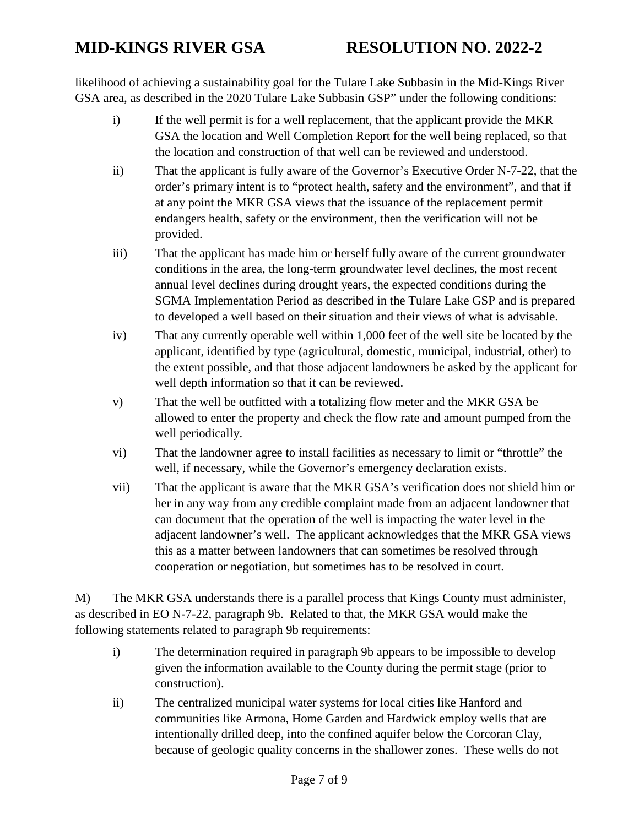likelihood of achieving a sustainability goal for the Tulare Lake Subbasin in the Mid-Kings River GSA area, as described in the 2020 Tulare Lake Subbasin GSP" under the following conditions:

- i) If the well permit is for a well replacement, that the applicant provide the MKR GSA the location and Well Completion Report for the well being replaced, so that the location and construction of that well can be reviewed and understood.
- ii) That the applicant is fully aware of the Governor's Executive Order N-7-22, that the order's primary intent is to "protect health, safety and the environment", and that if at any point the MKR GSA views that the issuance of the replacement permit endangers health, safety or the environment, then the verification will not be provided.
- iii) That the applicant has made him or herself fully aware of the current groundwater conditions in the area, the long-term groundwater level declines, the most recent annual level declines during drought years, the expected conditions during the SGMA Implementation Period as described in the Tulare Lake GSP and is prepared to developed a well based on their situation and their views of what is advisable.
- iv) That any currently operable well within 1,000 feet of the well site be located by the applicant, identified by type (agricultural, domestic, municipal, industrial, other) to the extent possible, and that those adjacent landowners be asked by the applicant for well depth information so that it can be reviewed.
- v) That the well be outfitted with a totalizing flow meter and the MKR GSA be allowed to enter the property and check the flow rate and amount pumped from the well periodically.
- vi) That the landowner agree to install facilities as necessary to limit or "throttle" the well, if necessary, while the Governor's emergency declaration exists.
- vii) That the applicant is aware that the MKR GSA's verification does not shield him or her in any way from any credible complaint made from an adjacent landowner that can document that the operation of the well is impacting the water level in the adjacent landowner's well. The applicant acknowledges that the MKR GSA views this as a matter between landowners that can sometimes be resolved through cooperation or negotiation, but sometimes has to be resolved in court.

M) The MKR GSA understands there is a parallel process that Kings County must administer, as described in EO N-7-22, paragraph 9b. Related to that, the MKR GSA would make the following statements related to paragraph 9b requirements:

- i) The determination required in paragraph 9b appears to be impossible to develop given the information available to the County during the permit stage (prior to construction).
- ii) The centralized municipal water systems for local cities like Hanford and communities like Armona, Home Garden and Hardwick employ wells that are intentionally drilled deep, into the confined aquifer below the Corcoran Clay, because of geologic quality concerns in the shallower zones. These wells do not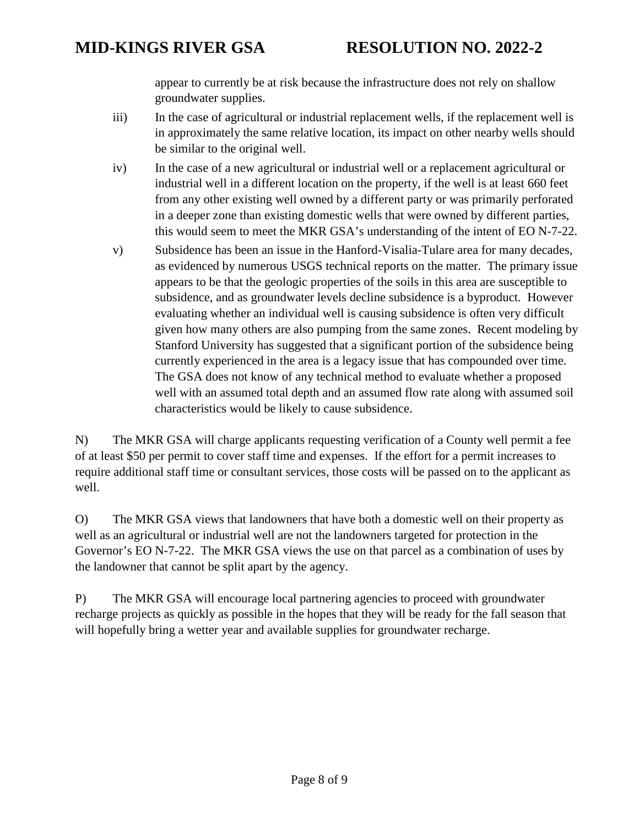appear to currently be at risk because the infrastructure does not rely on shallow groundwater supplies.

- iii) In the case of agricultural or industrial replacement wells, if the replacement well is in approximately the same relative location, its impact on other nearby wells should be similar to the original well.
- iv) In the case of a new agricultural or industrial well or a replacement agricultural or industrial well in a different location on the property, if the well is at least 660 feet from any other existing well owned by a different party or was primarily perforated in a deeper zone than existing domestic wells that were owned by different parties, this would seem to meet the MKR GSA's understanding of the intent of EO N-7-22.
- v) Subsidence has been an issue in the Hanford-Visalia-Tulare area for many decades, as evidenced by numerous USGS technical reports on the matter. The primary issue appears to be that the geologic properties of the soils in this area are susceptible to subsidence, and as groundwater levels decline subsidence is a byproduct. However evaluating whether an individual well is causing subsidence is often very difficult given how many others are also pumping from the same zones. Recent modeling by Stanford University has suggested that a significant portion of the subsidence being currently experienced in the area is a legacy issue that has compounded over time. The GSA does not know of any technical method to evaluate whether a proposed well with an assumed total depth and an assumed flow rate along with assumed soil characteristics would be likely to cause subsidence.

N) The MKR GSA will charge applicants requesting verification of a County well permit a fee of at least \$50 per permit to cover staff time and expenses. If the effort for a permit increases to require additional staff time or consultant services, those costs will be passed on to the applicant as well.

O) The MKR GSA views that landowners that have both a domestic well on their property as well as an agricultural or industrial well are not the landowners targeted for protection in the Governor's EO N-7-22. The MKR GSA views the use on that parcel as a combination of uses by the landowner that cannot be split apart by the agency.

P) The MKR GSA will encourage local partnering agencies to proceed with groundwater recharge projects as quickly as possible in the hopes that they will be ready for the fall season that will hopefully bring a wetter year and available supplies for groundwater recharge.